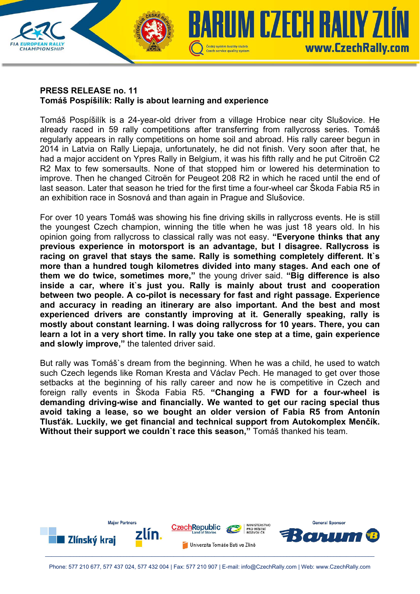

## **PRESS RELEASE no. 11 Tomáš Pospíšilík: Rally is about learning and experience**

Tomáš Pospíšilík is a 24-year-old driver from a village Hrobice near city Slušovice. He already raced in 59 rally competitions after transferring from rallycross series. Tomáš regularly appears in rally competitions on home soil and abroad. His rally career begun in 2014 in Latvia on Rally Liepaja, unfortunately, he did not finish. Very soon after that, he had a major accident on Ypres Rally in Belgium, it was his fifth rally and he put Citroën C2 R2 Max to few somersaults. None of that stopped him or lowered his determination to improve. Then he changed Citroën for Peugeot 208 R2 in which he raced until the end of last season. Later that season he tried for the first time a four-wheel car Škoda Fabia R5 in an exhibition race in Sosnová and than again in Prague and Slušovice.

For over 10 years Tomáš was showing his fine driving skills in rallycross events. He is still the youngest Czech champion, winning the title when he was just 18 years old. In his opinion going from rallycross to classical rally was not easy. **"Everyone thinks that any previous experience in motorsport is an advantage, but I disagree. Rallycross is racing on gravel that stays the same. Rally is something completely different. It`s more than a hundred tough kilometres divided into many stages. And each one of them we do twice, sometimes more,"** the young driver said. **"Big difference is also inside a car, where it`s just you. Rally is mainly about trust and cooperation between two people. A co-pilot is necessary for fast and right passage. Experience and accuracy in reading an itinerary are also important. And the best and most experienced drivers are constantly improving at it. Generally speaking, rally is mostly about constant learning. I was doing rallycross for 10 years. There, you can learn a lot in a very short time. In rally you take one step at a time, gain experience and slowly improve,"** the talented driver said.

But rally was Tomáš`s dream from the beginning. When he was a child, he used to watch such Czech legends like Roman Kresta and Václav Pech. He managed to get over those setbacks at the beginning of his rally career and now he is competitive in Czech and foreign rally events in Škoda Fabia R5. **"Changing a FWD for a four-wheel is demanding driving-wise and financially. We wanted to get our racing special thus avoid taking a lease, so we bought an older version of Fabia R5 from Antonín Tlusťák. Luckily, we get financial and technical support from Autokomplex Menčík. Without their support we couldn`t race this season,"** Tomáš thanked his team.